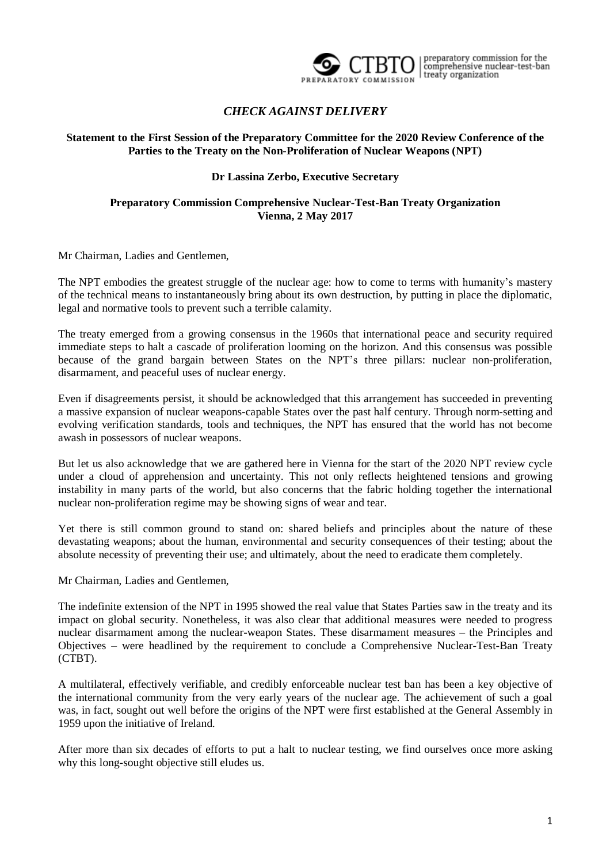

preparatory commission for the<br>comprehensive nuclear-test-ban treaty organization

## *CHECK AGAINST DELIVERY*

#### **Statement to the First Session of the Preparatory Committee for the 2020 Review Conference of the Parties to the Treaty on the Non-Proliferation of Nuclear Weapons (NPT)**

### **Dr Lassina Zerbo, Executive Secretary**

### **Preparatory Commission Comprehensive Nuclear-Test-Ban Treaty Organization Vienna, 2 May 2017**

Mr Chairman, Ladies and Gentlemen,

The NPT embodies the greatest struggle of the nuclear age: how to come to terms with humanity's mastery of the technical means to instantaneously bring about its own destruction, by putting in place the diplomatic, legal and normative tools to prevent such a terrible calamity.

The treaty emerged from a growing consensus in the 1960s that international peace and security required immediate steps to halt a cascade of proliferation looming on the horizon. And this consensus was possible because of the grand bargain between States on the NPT's three pillars: nuclear non-proliferation, disarmament, and peaceful uses of nuclear energy.

Even if disagreements persist, it should be acknowledged that this arrangement has succeeded in preventing a massive expansion of nuclear weapons-capable States over the past half century. Through norm-setting and evolving verification standards, tools and techniques, the NPT has ensured that the world has not become awash in possessors of nuclear weapons.

But let us also acknowledge that we are gathered here in Vienna for the start of the 2020 NPT review cycle under a cloud of apprehension and uncertainty. This not only reflects heightened tensions and growing instability in many parts of the world, but also concerns that the fabric holding together the international nuclear non-proliferation regime may be showing signs of wear and tear.

Yet there is still common ground to stand on: shared beliefs and principles about the nature of these devastating weapons; about the human, environmental and security consequences of their testing; about the absolute necessity of preventing their use; and ultimately, about the need to eradicate them completely.

Mr Chairman, Ladies and Gentlemen,

The indefinite extension of the NPT in 1995 showed the real value that States Parties saw in the treaty and its impact on global security. Nonetheless, it was also clear that additional measures were needed to progress nuclear disarmament among the nuclear-weapon States. These disarmament measures – the Principles and Objectives – were headlined by the requirement to conclude a Comprehensive Nuclear-Test-Ban Treaty (CTBT).

A multilateral, effectively verifiable, and credibly enforceable nuclear test ban has been a key objective of the international community from the very early years of the nuclear age. The achievement of such a goal was, in fact, sought out well before the origins of the NPT were first established at the General Assembly in 1959 upon the initiative of Ireland.

After more than six decades of efforts to put a halt to nuclear testing, we find ourselves once more asking why this long-sought objective still eludes us.